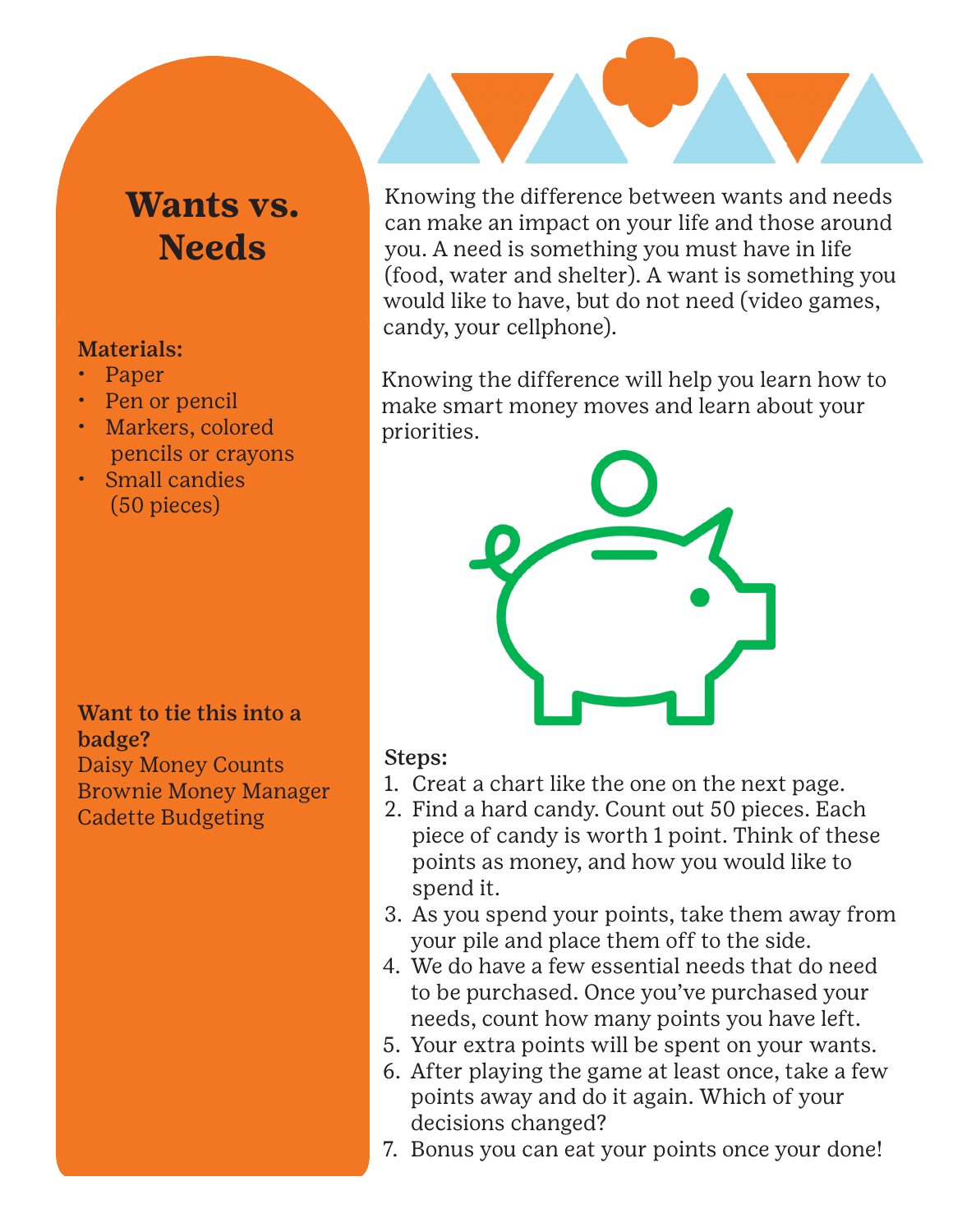## **Wants vs. Needs**

## Materials:

- Paper
- Pen or pencil
- Markers, colored pencils or crayons
- Small candies (50 pieces)

Want to tie this into a badge? Daisy Money Counts Brownie Money Manager Cadette Budgeting

Knowing the difference between wants and needs can make an impact on your life and those around you. A need is something you must have in life (food, water and shelter). A want is something you would like to have, but do not need (video games, candy, your cellphone).

Knowing the difference will help you learn how to make smart money moves and learn about your priorities.



## Steps:

- 1. Creat a chart like the one on the next page.
- 2. Find a hard candy. Count out 50 pieces. Each piece of candy is worth 1 point. Think of these points as money, and how you would like to spend it.
- 3. As you spend your points, take them away from your pile and place them off to the side.
- 4. We do have a few essential needs that do need to be purchased. Once you've purchased your needs, count how many points you have left.
- 5. Your extra points will be spent on your wants.
- 6. After playing the game at least once, take a few points away and do it again. Which of your decisions changed?
- 7. Bonus you can eat your points once your done!